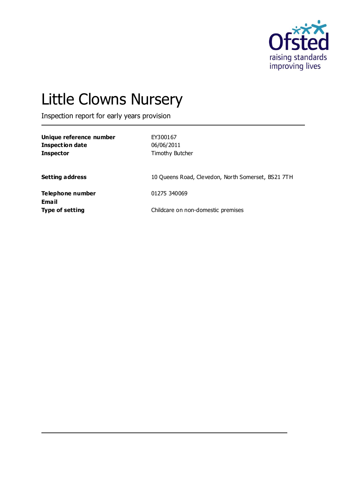

# Little Clowns Nursery

Inspection report for early years provision

| Unique reference number<br><b>Inspection date</b><br><b>Inspector</b> | EY300167<br>06/06/2011<br>Timothy Butcher          |
|-----------------------------------------------------------------------|----------------------------------------------------|
| <b>Setting address</b>                                                | 10 Queens Road, Clevedon, North Somerset, BS21 7TH |
| Telephone number<br>Ema il                                            | 01275 340069                                       |
| <b>Type of setting</b>                                                | Childcare on non-domestic premises                 |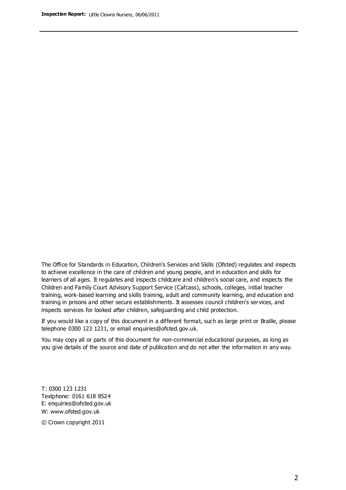The Office for Standards in Education, Children's Services and Skills (Ofsted) regulates and inspects to achieve excellence in the care of children and young people, and in education and skills for learners of all ages. It regulates and inspects childcare and children's social care, and inspects the Children and Family Court Advisory Support Service (Cafcass), schools, colleges, initial teacher training, work-based learning and skills training, adult and community learning, and education and training in prisons and other secure establishments. It assesses council children's services, and inspects services for looked after children, safeguarding and child protection.

If you would like a copy of this document in a different format, such as large print or Braille, please telephone 0300 123 1231, or email enquiries@ofsted.gov.uk.

You may copy all or parts of this document for non-commercial educational purposes, as long as you give details of the source and date of publication and do not alter the information in any way.

T: 0300 123 1231 Textphone: 0161 618 8524 E: enquiries@ofsted.gov.uk W: [www.ofsted.gov.uk](http://www.ofsted.gov.uk/)

© Crown copyright 2011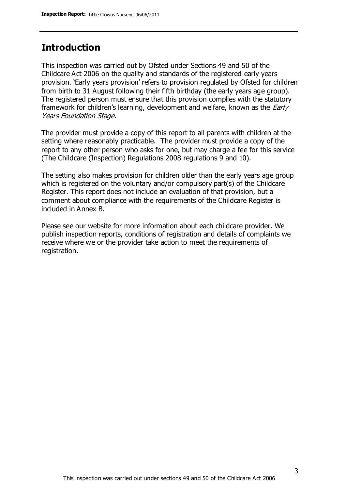# **Introduction**

This inspection was carried out by Ofsted under Sections 49 and 50 of the Childcare Act 2006 on the quality and standards of the registered early years provision. 'Early years provision' refers to provision regulated by Ofsted for children from birth to 31 August following their fifth birthday (the early years age group). The registered person must ensure that this provision complies with the statutory framework for children's learning, development and welfare, known as the *Early* Years Foundation Stage.

The provider must provide a copy of this report to all parents with children at the setting where reasonably practicable. The provider must provide a copy of the report to any other person who asks for one, but may charge a fee for this service (The Childcare (Inspection) Regulations 2008 regulations 9 and 10).

The setting also makes provision for children older than the early years age group which is registered on the voluntary and/or compulsory part(s) of the Childcare Register. This report does not include an evaluation of that provision, but a comment about compliance with the requirements of the Childcare Register is included in Annex B.

Please see our website for more information about each childcare provider. We publish inspection reports, conditions of registration and details of complaints we receive where we or the provider take action to meet the requirements of registration.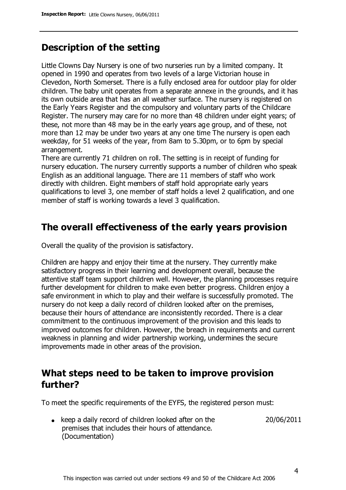# **Description of the setting**

Little Clowns Day Nursery is one of two nurseries run by a limited company. It opened in 1990 and operates from two levels of a large Victorian house in Clevedon, North Somerset. There is a fully enclosed area for outdoor play for older children. The baby unit operates from a separate annexe in the grounds, and it has its own outside area that has an all weather surface. The nursery is registered on the Early Years Register and the compulsory and voluntary parts of the Childcare Register. The nursery may care for no more than 48 children under eight years; of these, not more than 48 may be in the early years age group, and of these, not more than 12 may be under two years at any one time The nursery is open each weekday, for 51 weeks of the year, from 8am to 5.30pm, or to 6pm by special arrangement.

There are currently 71 children on roll. The setting is in receipt of funding for nursery education. The nursery currently supports a number of children who speak English as an additional language. There are 11 members of staff who work directly with children. Eight members of staff hold appropriate early years qualifications to level 3, one member of staff holds a level 2 qualification, and one member of staff is working towards a level 3 qualification.

## **The overall effectiveness of the early years provision**

Overall the quality of the provision is satisfactory.

Children are happy and enjoy their time at the nursery. They currently make satisfactory progress in their learning and development overall, because the attentive staff team support children well. However, the planning processes require further development for children to make even better progress. Children enjoy a safe environment in which to play and their welfare is successfully promoted. The nursery do not keep a daily record of children looked after on the premises, because their hours of attendance are inconsistently recorded. There is a clear commitment to the continuous improvement of the provision and this leads to improved outcomes for children. However, the breach in requirements and current weakness in planning and wider partnership working, undermines the secure improvements made in other areas of the provision.

## **What steps need to be taken to improve provision further?**

To meet the specific requirements of the EYFS, the registered person must:

 $\bullet$  keep a daily record of children looked after on the premises that includes their hours of attendance. (Documentation)

20/06/2011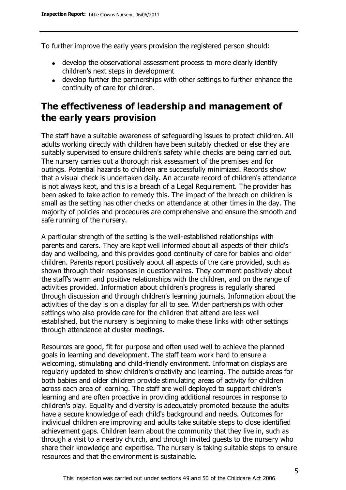To further improve the early years provision the registered person should:

- develop the observational assessment process to more clearly identify children's next steps in development
- develop further the partnerships with other settings to further enhance the continuity of care for children.

# **The effectiveness of leadership and management of the early years provision**

The staff have a suitable awareness of safeguarding issues to protect children. All adults working directly with children have been suitably checked or else they are suitably supervised to ensure children's safety while checks are being carried out. The nursery carries out a thorough risk assessment of the premises and for outings. Potential hazards to children are successfully minimized. Records show that a visual check is undertaken daily. An accurate record of children's attendance is not always kept, and this is a breach of a Legal Requirement. The provider has been asked to take action to remedy this. The impact of the breach on children is small as the setting has other checks on attendance at other times in the day. The majority of policies and procedures are comprehensive and ensure the smooth and safe running of the nursery.

A particular strength of the setting is the well-established relationships with parents and carers. They are kept well informed about all aspects of their child's day and wellbeing, and this provides good continuity of care for babies and older children. Parents report positively about all aspects of the care provided, such as shown through their responses in questionnaires. They comment positively about the staff's warm and positive relationships with the children, and on the range of activities provided. Information about children's progress is regularly shared through discussion and through children's learning journals. Information about the activities of the day is on a display for all to see. Wider partnerships with other settings who also provide care for the children that attend are less well established, but the nursery is beginning to make these links with other settings through attendance at cluster meetings.

Resources are good, fit for purpose and often used well to achieve the planned goals in learning and development. The staff team work hard to ensure a welcoming, stimulating and child-friendly environment. Information displays are regularly updated to show children's creativity and learning. The outside areas for both babies and older children provide stimulating areas of activity for children across each area of learning. The staff are well deployed to support children's learning and are often proactive in providing additional resources in response to children's play. Equality and diversity is adequately promoted because the adults have a secure knowledge of each child's background and needs. Outcomes for individual children are improving and adults take suitable steps to close identified achievement gaps. Children learn about the community that they live in, such as through a visit to a nearby church, and through invited guests to the nursery who share their knowledge and expertise. The nursery is taking suitable steps to ensure resources and that the environment is sustainable.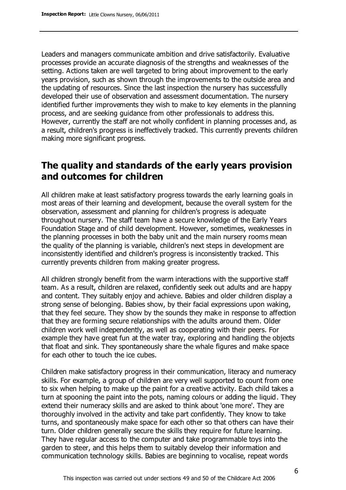Leaders and managers communicate ambition and drive satisfactorily. Evaluative processes provide an accurate diagnosis of the strengths and weaknesses of the setting. Actions taken are well targeted to bring about improvement to the early years provision, such as shown through the improvements to the outside area and the updating of resources. Since the last inspection the nursery has successfully developed their use of observation and assessment documentation. The nursery identified further improvements they wish to make to key elements in the planning process, and are seeking guidance from other professionals to address this. However, currently the staff are not wholly confident in planning processes and, as a result, children's progress is ineffectively tracked. This currently prevents children making more significant progress.

# **The quality and standards of the early years provision and outcomes for children**

All children make at least satisfactory progress towards the early learning goals in most areas of their learning and development, because the overall system for the observation, assessment and planning for children's progress is adequate throughout nursery. The staff team have a secure knowledge of the Early Years Foundation Stage and of child development. However, sometimes, weaknesses in the planning processes in both the baby unit and the main nursery rooms mean the quality of the planning is variable, children's next steps in development are inconsistently identified and children's progress is inconsistently tracked. This currently prevents children from making greater progress.

All children strongly benefit from the warm interactions with the supportive staff team. As a result, children are relaxed, confidently seek out adults and are happy and content. They suitably enjoy and achieve. Babies and older children display a strong sense of belonging. Babies show, by their facial expressions upon waking, that they feel secure. They show by the sounds they make in response to affection that they are forming secure relationships with the adults around them. Older children work well independently, as well as cooperating with their peers. For example they have great fun at the water tray, exploring and handling the objects that float and sink. They spontaneously share the whale figures and make space for each other to touch the ice cubes.

Children make satisfactory progress in their communication, literacy and numeracy skills. For example, a group of children are very well supported to count from one to six when helping to make up the paint for a creative activity. Each child takes a turn at spooning the paint into the pots, naming colours or adding the liquid. They extend their numeracy skills and are asked to think about 'one more'. They are thoroughly involved in the activity and take part confidently. They know to take turns, and spontaneously make space for each other so that others can have their turn. Older children generally secure the skills they require for future learning. They have regular access to the computer and take programmable toys into the garden to steer, and this helps them to suitably develop their information and communication technology skills. Babies are beginning to vocalise, repeat words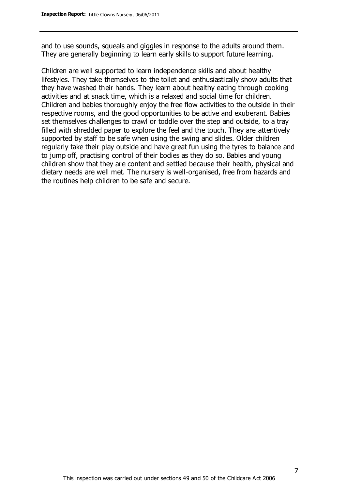and to use sounds, squeals and giggles in response to the adults around them. They are generally beginning to learn early skills to support future learning.

Children are well supported to learn independence skills and about healthy lifestyles. They take themselves to the toilet and enthusiastically show adults that they have washed their hands. They learn about healthy eating through cooking activities and at snack time, which is a relaxed and social time for children. Children and babies thoroughly enjoy the free flow activities to the outside in their respective rooms, and the good opportunities to be active and exuberant. Babies set themselves challenges to crawl or toddle over the step and outside, to a tray filled with shredded paper to explore the feel and the touch. They are attentively supported by staff to be safe when using the swing and slides. Older children regularly take their play outside and have great fun using the tyres to balance and to jump off, practising control of their bodies as they do so. Babies and young children show that they are content and settled because their health, physical and dietary needs are well met. The nursery is well-organised, free from hazards and the routines help children to be safe and secure.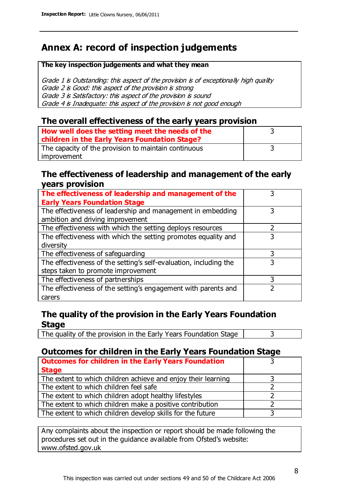# **Annex A: record of inspection judgements**

#### **The key inspection judgements and what they mean**

Grade 1 is Outstanding: this aspect of the provision is of exceptionally high quality Grade 2 is Good: this aspect of the provision is strong Grade 3 is Satisfactory: this aspect of the provision is sound Grade 4 is Inadequate: this aspect of the provision is not good enough

### **The overall effectiveness of the early years provision**

| How well does the setting meet the needs of the      |  |
|------------------------------------------------------|--|
| children in the Early Years Foundation Stage?        |  |
| The capacity of the provision to maintain continuous |  |
| improvement                                          |  |

#### **The effectiveness of leadership and management of the early years provision**

| The effectiveness of leadership and management of the             |   |
|-------------------------------------------------------------------|---|
| <b>Early Years Foundation Stage</b>                               |   |
| The effectiveness of leadership and management in embedding       |   |
| ambition and driving improvement                                  |   |
| The effectiveness with which the setting deploys resources        |   |
| The effectiveness with which the setting promotes equality and    | 3 |
| diversity                                                         |   |
| The effectiveness of safeguarding                                 |   |
| The effectiveness of the setting's self-evaluation, including the | 3 |
| steps taken to promote improvement                                |   |
| The effectiveness of partnerships                                 | 3 |
| The effectiveness of the setting's engagement with parents and    |   |
| carers                                                            |   |

## **The quality of the provision in the Early Years Foundation Stage**

The quality of the provision in the Early Years Foundation Stage  $\vert$  3

## **Outcomes for children in the Early Years Foundation Stage**

| <b>Outcomes for children in the Early Years Foundation</b>    |  |
|---------------------------------------------------------------|--|
| <b>Stage</b>                                                  |  |
| The extent to which children achieve and enjoy their learning |  |
| The extent to which children feel safe                        |  |
| The extent to which children adopt healthy lifestyles         |  |
| The extent to which children make a positive contribution     |  |
| The extent to which children develop skills for the future    |  |

Any complaints about the inspection or report should be made following the procedures set out in the guidance available from Ofsted's website: www.ofsted.gov.uk